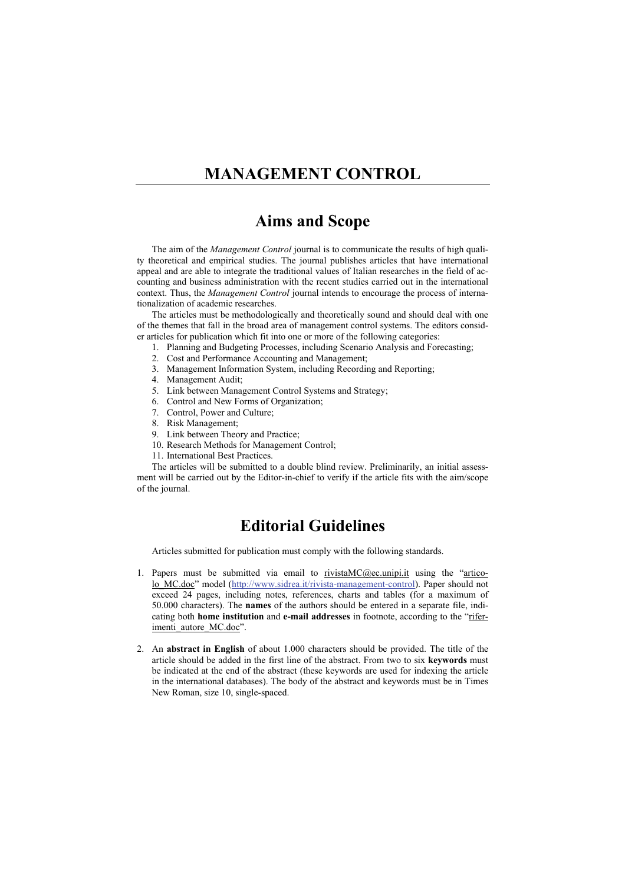# **MANAGEMENT CONTROL**

### **Aims and Scope**

The aim of the *Management Control* journal is to communicate the results of high quality theoretical and empirical studies. The journal publishes articles that have international appeal and are able to integrate the traditional values of Italian researches in the field of accounting and business administration with the recent studies carried out in the international context. Thus, the *Management Control* journal intends to encourage the process of internationalization of academic researches.

The articles must be methodologically and theoretically sound and should deal with one of the themes that fall in the broad area of management control systems. The editors consider articles for publication which fit into one or more of the following categories:

- 1. Planning and Budgeting Processes, including Scenario Analysis and Forecasting;
- 2. Cost and Performance Accounting and Management;
- 3. Management Information System, including Recording and Reporting;
- 4. Management Audit;
- 5. Link between Management Control Systems and Strategy;
- 6. Control and New Forms of Organization;
- 7. Control, Power and Culture;
- 8. Risk Management;
- 9. Link between Theory and Practice;
- 10. Research Methods for Management Control;
- 11. International Best Practices.

The articles will be submitted to a double blind review. Preliminarily, an initial assessment will be carried out by the Editor-in-chief to verify if the article fits with the aim/scope of the journal.

# **Editorial Guidelines**

Articles submitted for publication must comply with the following standards.

- 1. Papers must be submitted via email to  $\frac{rivistaMC@ec.unipi.it}$  using the "articolo\_MC.doc" model (http://www.sidrea.it/rivista-management-control). Paper should not exceed 24 pages, including notes, references, charts and tables (for a maximum of 50.000 characters). The **names** of the authors should be entered in a separate file, indicating both **home institution** and **e-mail addresses** in footnote, according to the "riferimenti autore MC.doc".
- 2. An **abstract in English** of about 1.000 characters should be provided. The title of the article should be added in the first line of the abstract. From two to six **keywords** must be indicated at the end of the abstract (these keywords are used for indexing the article in the international databases). The body of the abstract and keywords must be in Times New Roman, size 10, single-spaced.